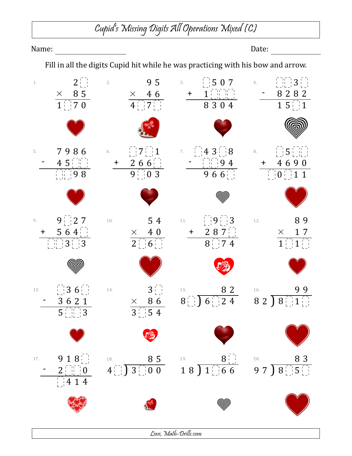## Cupid's Missing Digits All Operations Mixed (C)

## Name: Date: Fill in all the digits Cupid hit while he was practicing with his bow and arrow. 1.  $2^{11}$ 2.  $95$  $3.$   $\begin{array}{|c|c|c|c|c|} \hline 5 & 0 & 7 \\ \hline \end{array}$ 3 4.  $-8282$ + 1 *×* 8 5 *×* 4 6  $1 \mid 7 \; 0$  $4 \cdot 7$ 8 3 0 4  $1\;5$  | | 1  $7986$  6.  $1711$  $4 \, 3 \begin{array}{|c|c|c|} \hline 8 & & \& \end{array}$  8.  $\begin{array}{|c|c|c|} \hline 5 \\ \hline \end{array}$ 5. 7.  $-45$  $\begin{bmatrix} 1 \\ 2 \end{bmatrix}$  9 4 + 2 6 6 + 4 6 9 0 9 8  $9 \begin{array}{|c|c|} 9 & 0 & 3 \end{array}$ 9 6 6  $0^{+}$  1 1 (അ്ത്രി 9.  $9 \begin{bmatrix} 1 \\ 2 \end{bmatrix}$  **7** 10. 8 9 10. **5 4** 11. **9**  $\frac{1}{2}$  **9** 3 + 5 6 4 + 2 8 7 *×* 4 0 *×* 1 7  $3 \mid 3$  $2 \bigcup 6$  $8 \begin{array}{c} 2 \end{array}$  7 4  $1 \bigsqcup 1$ 13.  $\begin{bmatrix} 1 & 3 & 6 \end{bmatrix}$  $3\,6^{1}_{1}\,$  14.  $3\,$ 15.  $82$ 16. **99**  $8 \binom{1}{2} 6 \binom{1}{2} 4$  $8 \ 2 \ \sqrt{8}$  | 1  $-3621$ *×* 8 6  $5^{\circ}$  3  $3^{+}_{-}$  5 4  $9\;1\;8$  18. 8 5 19. 8 20. 8 3 17.  $4$   $3$   $0$  0  $18$  )  $1\frac{1}{1}$  66  $97$  )  $8$   $5$  $-2$   $\begin{bmatrix} 0 \\ 0 \end{bmatrix}$ 4 1 4 (അ്ത്രി

Love, Math-Drills.com